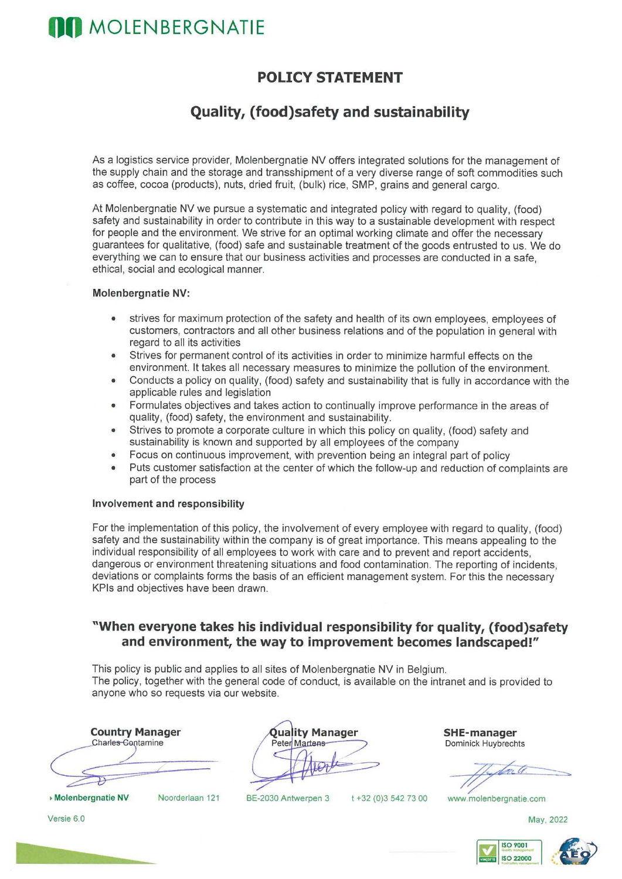# **MOLENBERGNATIE**

## POLICY STATEMENT

## Quality, (food)safety and sustainability

As a logistics service provider, Molenbergnatie NV offers integrated solutions for the management of the supply chain and the storage and transshipment of a very diverse range of soft commodities such as coffee, cocoa (products), nuts, dried fruit, (bulk) rice, SMP, grains and general cargo.

At Molenbergnatie NV we pursue a systematic and integrated policy with regard to quality, (food) safety and sustainability in order to contribute in this way to a sustainable development with respect for people and the environment. We strive for an optimal working climate and offer the necessary guarantees for qualitative, (food) safe and sustainable treatment of the goods entrusted to us. We do everything we can to ensure that our business activities and processes are conducted in a safe, ethical, social and ecological manner.

### Molenbergnatie NV:

- e strives for maximum protection of the safety and health of its own employees, employees of customers, contractors and all other business relations and of the population in general with regard to all its activities
- Strives for permanent control of its activities in order to minimize harmful effects on the environment. It takes all necessary measures to minimize the pollution of the environment.
- e Conducts a policy on quality, (food) safety and sustainability that is fully in accordance with the applicable rules and legislation
- e Formulates objectives and takes action to continually improve performance in the areas of quality, (food) safety, the environment and sustainability.
- e Strives to promote a corporate culture in which this policy on quality, (food) safety and sustainability is known and supported by all employees of the company
- e Focus on continuous improvement, with prevention being an integral part of policy
- Puts customer satisfaction at the center of which the follow-up and reduction of complaints are part of the process

#### Involvement and responsibility

For the implementation of this policy, the involvement of every employee with regard to quality, (food) safety and the sustainability within the company is of great importance. This means appealing to the individual responsibility of all employees to work with care and to prevent and report accidents, dangerous or environment threatening situations and food contamination. The reporting of incidents, deviations or complaints forms the basis of an efficient management system. For this the necessary KPls and objectives have been drawn.

### "When everyone takes his individual responsibility for quality, (food)safety and environment, the way to improvement becomes landscaped!"

This policy is public and applies to all sites of Molenbergnatie NV in Belgium. The policy, together with the general code of conduct, is available on the intranet and is provided to

anyone who so requests via our website.<br> **Country Manager<br>
Charles Contamine** Country Manager **Country M**<br>Charle<del>s</del> Conta

 $\overline{\phantom{a}}$ BE-2030 Antwerpe **Quality Manager SHE-manager<br>Peter Martens Structure Commission Commission Dominick Huvbrech** 

Dominick Huybrechts

to to **dscaped!"**<br>
Ind is provided to<br> **manager**<br>
K Huybrechts<br>
<br>
May, 2022<br> **May, 2022**<br> **May, 2022**<br> **May, 2022**<br> **May, 2022**<br> **ALES** 

Noorderlaan 121 BE-2030 Antwerpen 3 t +32 (0)3 542 73 00 www.molenbergnatie.com

Versie 6.0 May, 2022





**Molenbergnatie NV**<br>Versie 6.0

ee